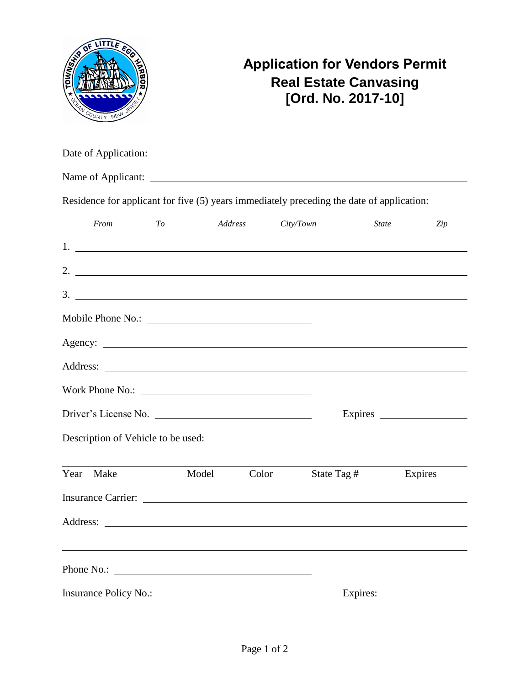| OF LITTLE FOO<br>TOWNSHA<br>COUNTY, NEW                                                   | <b>Application for Vendors Permit</b><br><b>Real Estate Canvasing</b><br>[Ord. No. 2017-10] |         |           |             |                     |  |  |  |
|-------------------------------------------------------------------------------------------|---------------------------------------------------------------------------------------------|---------|-----------|-------------|---------------------|--|--|--|
|                                                                                           |                                                                                             |         |           |             |                     |  |  |  |
|                                                                                           |                                                                                             |         |           |             |                     |  |  |  |
| Residence for applicant for five (5) years immediately preceding the date of application: |                                                                                             |         |           |             |                     |  |  |  |
| From                                                                                      | To                                                                                          | Address | City/Town |             | <i>State</i><br>Zip |  |  |  |
|                                                                                           |                                                                                             |         |           |             |                     |  |  |  |
| 2. $\overline{\phantom{a}}$                                                               |                                                                                             |         |           |             |                     |  |  |  |
| $\frac{3}{2}$                                                                             |                                                                                             |         |           |             |                     |  |  |  |
|                                                                                           |                                                                                             |         |           |             |                     |  |  |  |
|                                                                                           |                                                                                             |         |           |             |                     |  |  |  |
|                                                                                           |                                                                                             |         |           |             |                     |  |  |  |
|                                                                                           |                                                                                             |         |           |             |                     |  |  |  |
| Driver's License No.                                                                      |                                                                                             |         |           |             | Expires             |  |  |  |
| Description of Vehicle to be used:                                                        |                                                                                             |         |           |             |                     |  |  |  |
| Make<br>Year                                                                              | Model                                                                                       | Color   |           | State Tag # | Expires             |  |  |  |
|                                                                                           |                                                                                             |         |           |             |                     |  |  |  |
|                                                                                           |                                                                                             |         |           |             |                     |  |  |  |
|                                                                                           |                                                                                             |         |           |             |                     |  |  |  |
|                                                                                           |                                                                                             |         |           |             |                     |  |  |  |